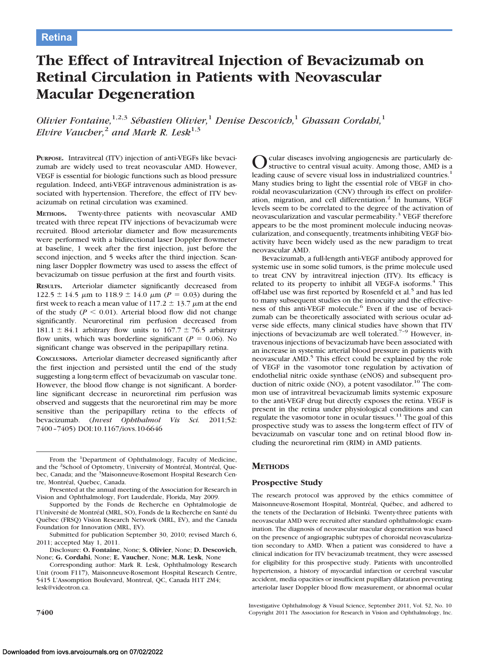# **The Effect of Intravitreal Injection of Bevacizumab on Retinal Circulation in Patients with Neovascular Macular Degeneration**

*Olivier Fontaine*,<sup>1,2,3</sup> *Sébastien Olivier*,<sup>1</sup> *Denise Descovich*,<sup>1</sup> *Ghassan Cordahi*,<sup>1</sup> *Elvire Vaucher*,<sup>2</sup> *and Mark R. Lesk*<sup>1,3</sup>

**PURPOSE.** Intravitreal (ITV) injection of anti-VEGFs like bevacizumab are widely used to treat neovascular AMD. However, VEGF is essential for biologic functions such as blood pressure regulation. Indeed, anti-VEGF intravenous administration is associated with hypertension. Therefore, the effect of ITV bevacizumab on retinal circulation was examined.

**METHODS.** Twenty-three patients with neovascular AMD treated with three repeat ITV injections of bevacizumab were recruited. Blood arteriolar diameter and flow measurements were performed with a bidirectional laser Doppler flowmeter at baseline, 1 week after the first injection, just before the second injection, and 5 weeks after the third injection. Scanning laser Doppler flowmetry was used to assess the effect of bevacizumab on tissue perfusion at the first and fourth visits.

**RESULTS.** Arteriolar diameter significantly decreased from  $122.5 \pm 14.5$   $\mu$ m to  $118.9 \pm 14.0$   $\mu$ m (*P* = 0.03) during the first week to reach a mean value of 117.2  $\pm$  13.7  $\mu$ m at the end of the study ( $P \le 0.01$ ). Arterial blood flow did not change significantly. Neuroretinal rim perfusion decreased from 181.1  $\pm$  84.1 arbitrary flow units to 167.7  $\pm$  76.5 arbitrary flow units, which was borderline significant ( $P = 0.06$ ). No significant change was observed in the peripapillary retina.

**CONCLUSIONS.** Arteriolar diameter decreased significantly after the first injection and persisted until the end of the study suggesting a long-term effect of bevacizumab on vascular tone. However, the blood flow change is not significant. A borderline significant decrease in neuroretinal rim perfusion was observed and suggests that the neuroretinal rim may be more sensitive than the peripapillary retina to the effects of bevacizumab. (*Invest Ophthalmol Vis Sci.* 2011;52: 7400 –7405) DOI:10.1167/iovs.10-6646

From the <sup>1</sup>Department of Ophthalmology, Faculty of Medicine, and the <sup>2</sup>School of Optometry, University of Montréal, Montréal, Quebec, Canada; and the <sup>3</sup>Maisonneuve-Rosemont Hospital Research Centre, Montréal, Quebec, Canada.

Presented at the annual meeting of the Association for Research in Vision and Ophthalmology, Fort Lauderdale, Florida, May 2009.

Supported by the Fonds de Recherche en Ophtalmologie de l'Université de Montréal (MRL, SO), Fonds de la Recherche en Santé du Québec (FRSQ) Vision Research Network (MRL, EV), and the Canada Foundation for Innovation (MRL, EV).

Submitted for publication September 30, 2010; revised March 6, 2011; accepted May 1, 2011.

Disclosure: **O. Fontaine**, None; **S. Olivier**, None; **D. Descovich**, None; **G. Cordahi**, None; **E. Vaucher**, None; **M.R. Lesk**, None

Corresponding author: Mark R. Lesk, Ophthalmology Research Unit (room F117), Maisonneuve-Rosemont Hospital Research Centre, 5415 L'Assomption Boulevard, Montreal, QC, Canada H1T 2M4; lesk@videotron.ca.

cular diseases involving angiogenesis are particularly destructive to central visual acuity. Among those, AMD is a leading cause of severe visual loss in industrialized countries.<sup>1</sup> Many studies bring to light the essential role of VEGF in choroidal neovascularization (CNV) through its effect on proliferation, migration, and cell differentiation.<sup>2</sup> In humans, VEGF levels seem to be correlated to the degree of the activation of neovascularization and vascular permeability.<sup>3</sup> VEGF therefore appears to be the most prominent molecule inducing neovascularization, and consequently, treatments inhibiting VEGF bioactivity have been widely used as the new paradigm to treat neovascular AMD.

Bevacizumab, a full-length anti-VEGF antibody approved for systemic use in some solid tumors, is the prime molecule used to treat CNV by intravitreal injection (ITV). Its efficacy is related to its property to inhibit all VEGF-A isoforms.<sup>4</sup> This off-label use was first reported by Rosenfeld et al.<sup>5</sup> and has led to many subsequent studies on the innocuity and the effectiveness of this anti-VEGF molecule.6 Even if the use of bevacizumab can be theoretically associated with serious ocular adverse side effects, many clinical studies have shown that ITV injections of bevacizumab are well tolerated.<sup> $7-9$ </sup> However, intravenous injections of bevacizumab have been associated with an increase in systemic arterial blood pressure in patients with neovascular AMD.<sup>5</sup> This effect could be explained by the role of VEGF in the vasomotor tone regulation by activation of endothelial nitric oxide synthase (eNOS) and subsequent production of nitric oxide  $(NO)$ , a potent vasodilator.<sup>10</sup> The common use of intravitreal bevacizumab limits systemic exposure to the anti-VEGF drug but directly exposes the retina. VEGF is present in the retina under physiological conditions and can regulate the vasomotor tone in ocular tissues.<sup>11</sup> The goal of this prospective study was to assess the long-term effect of ITV of bevacizumab on vascular tone and on retinal blood flow including the neuroretinal rim (RIM) in AMD patients.

# **METHODS**

# **Prospective Study**

The research protocol was approved by the ethics committee of Maisonneuve-Rosemont Hospital, Montréal, Québec, and adhered to the tenets of the Declaration of Helsinki. Twenty-three patients with neovascular AMD were recruited after standard ophthalmologic examination. The diagnosis of neovascular macular degeneration was based on the presence of angiographic subtypes of choroidal neovascularization secondary to AMD. When a patient was considered to have a clinical indication for ITV bevacizumab treatment, they were assessed for eligibility for this prospective study. Patients with uncontrolled hypertension, a history of myocardial infarction or cerebral vascular accident, media opacities or insufficient pupillary dilatation preventing arteriolar laser Doppler blood flow measurement, or abnormal ocular

Investigative Ophthalmology & Visual Science, September 2011, Vol. 52, No. 10 **7400** Copyright 2011 The Association for Research in Vision and Ophthalmology, Inc.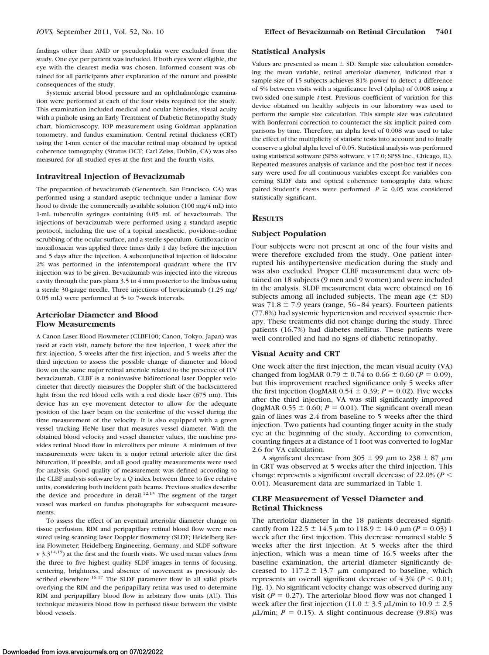findings other than AMD or pseudophakia were excluded from the study. One eye per patient was included. If both eyes were eligible, the eye with the clearest media was chosen. Informed consent was obtained for all participants after explanation of the nature and possible consequences of the study.

Systemic arterial blood pressure and an ophthalmologic examination were performed at each of the four visits required for the study. This examination included medical and ocular histories, visual acuity with a pinhole using an Early Treatment of Diabetic Retinopathy Study chart, biomicroscopy, IOP measurement using Goldman applanation tonometry, and fundus examination. Central retinal thickness (CRT) using the 1-mm center of the macular retinal map obtained by optical coherence tomography (Stratus OCT; Carl Zeiss, Dublin, CA) was also measured for all studied eyes at the first and the fourth visits.

# **Intravitreal Injection of Bevacizumab**

The preparation of bevacizumab (Genentech, San Francisco, CA) was performed using a standard aseptic technique under a laminar flow hood to divide the commercially available solution (100 mg/4 mL) into 1-mL tuberculin syringes containing 0.05 mL of bevacizumab. The injections of bevacizumab were performed using a standard aseptic protocol, including the use of a topical anesthetic, povidone–iodine scrubbing of the ocular surface, and a sterile speculum. Gatifloxacin or moxifloxacin was applied three times daily 1 day before the injection and 5 days after the injection. A subconjunctival injection of lidocaine 2% was performed in the inferotemporal quadrant where the ITV injection was to be given. Bevacizumab was injected into the vitreous cavity through the pars plana 3.5 to 4 mm posterior to the limbus using a sterile 30-gauge needle. Three injections of bevacizumab (1.25 mg/ 0.05 mL) were performed at 5- to 7-week intervals.

# **Arteriolar Diameter and Blood Flow Measurements**

A Canon Laser Blood Flowmeter (CLBF100; Canon, Tokyo, Japan) was used at each visit, namely before the first injection, 1 week after the first injection, 5 weeks after the first injection, and 5 weeks after the third injection to assess the possible change of diameter and blood flow on the same major retinal arteriole related to the presence of ITV bevacizumab. CLBF is a noninvasive bidirectional laser Doppler velocimeter that directly measures the Doppler shift of the backscattered light from the red blood cells with a red diode laser (675 nm). This device has an eye movement detector to allow for the adequate position of the laser beam on the centerline of the vessel during the time measurement of the velocity. It is also equipped with a green vessel tracking HeNe laser that measures vessel diameter. With the obtained blood velocity and vessel diameter values, the machine provides retinal blood flow in microliters per minute. A minimum of five measurements were taken in a major retinal arteriole after the first bifurcation, if possible, and all good quality measurements were used for analysis. Good quality of measurement was defined according to the CLBF analysis software by a Q index between three to five relative units, considering both incident path beams. Previous studies describe the device and procedure in detail.<sup>12,13</sup> The segment of the target vessel was marked on fundus photographs for subsequent measurements.

To assess the effect of an eventual arteriolar diameter change on tissue perfusion, RIM and peripapillary retinal blood flow were measured using scanning laser Doppler flowmetry (SLDF; Heidelberg Retina Flowmeter; Heidelberg Engineering, Germany, and SLDF software  $v$  3.3<sup>14,15</sup>) at the first and the fourth visits. We used mean values from the three to five highest quality SLDF images in terms of focusing, centering, brightness, and absence of movement as previously described elsewhere.<sup>16,17</sup> The SLDF parameter flow in all valid pixels overlying the RIM and the peripapillary retina was used to determine RIM and peripapillary blood flow in arbitrary flow units (AU). This technique measures blood flow in perfused tissue between the visible blood vessels.

#### **Statistical Analysis**

Values are presented as mean  $\pm$  SD. Sample size calculation considering the mean variable, retinal arteriolar diameter, indicated that a sample size of 15 subjects achieves 81% power to detect a difference of 5% between visits with a significance level (alpha) of 0.008 using a two-sided one-sample *t*-test. Previous coefficient of variation for this device obtained on healthy subjects in our laboratory was used to perform the sample size calculation. This sample size was calculated with Bonferroni correction to counteract the six implicit paired comparisons by time. Therefore, an alpha level of 0.008 was used to take the effect of the multiplicity of statistic tests into account and to finally conserve a global alpha level of 0.05. Statistical analysis was performed using statistical software (SPSS software, v 17.0; SPSS Inc., Chicago, IL). Repeated measures analysis of variance and the post-hoc test if necessary were used for all continuous variables except for variables concerning SLDF data and optical coherence tomography data where paired Student's *t*-tests were performed.  $P \ge 0.05$  was considered statistically significant.

# **RESULTS**

#### **Subject Population**

Four subjects were not present at one of the four visits and were therefore excluded from the study. One patient interrupted his antihypertensive medication during the study and was also excluded. Proper CLBF measurement data were obtained on 18 subjects (9 men and 9 women) and were included in the analysis. SLDF measurement data were obtained on 16 subjects among all included subjects. The mean age  $(\pm SD)$ was 71.8  $\pm$  7.9 years (range, 56-84 years). Fourteen patients (77.8%) had systemic hypertension and received systemic therapy. These treatments did not change during the study. Three patients (16.7%) had diabetes mellitus. These patients were well controlled and had no signs of diabetic retinopathy.

# **Visual Acuity and CRT**

One week after the first injection, the mean visual acuity (VA) changed from  $logMAR 0.79 \pm 0.74$  to  $0.66 \pm 0.60$  ( $P = 0.09$ ), but this improvement reached significance only 5 weeks after the first injection (logMAR  $0.54 \pm 0.39$ ;  $P = 0.02$ ). Five weeks after the third injection, VA was still significantly improved (logMAR  $0.55 \pm 0.60$ ;  $P = 0.01$ ). The significant overall mean gain of lines was 2.4 from baseline to 5 weeks after the third injection. Two patients had counting finger acuity in the study eye at the beginning of the study. According to convention, counting fingers at a distance of 1 foot was converted to logMar 2.6 for VA calculation.

A significant decrease from 305  $\pm$  99  $\mu$ m to 238  $\pm$  87  $\mu$ m in CRT was observed at 5 weeks after the third injection. This change represents a significant overall decrease of 22.0% (*P* 0.01). Measurement data are summarized in Table 1.

# **CLBF Measurement of Vessel Diameter and Retinal Thickness**

The arteriolar diameter in the 18 patients decreased significantly from 122.5  $\pm$  14.5  $\mu$ m to 118.9  $\pm$  14.0  $\mu$ m (*P* = 0.03) 1 week after the first injection. This decrease remained stable 5 weeks after the first injection. At 5 weeks after the third injection, which was a mean time of 16.5 weeks after the baseline examination, the arterial diameter significantly decreased to 117.2  $\pm$  13.7  $\mu$ m compared to baseline, which represents an overall significant decrease of  $4.3\%$  ( $P < 0.01$ ; Fig. 1). No significant velocity change was observed during any visit ( $P = 0.27$ ). The arteriolar blood flow was not changed 1 week after the first injection (11.0  $\pm$  3.5  $\mu$ L/min to 10.9  $\pm$  2.5  $\mu$ L/min;  $P = 0.15$ ). A slight continuous decrease (9.8%) was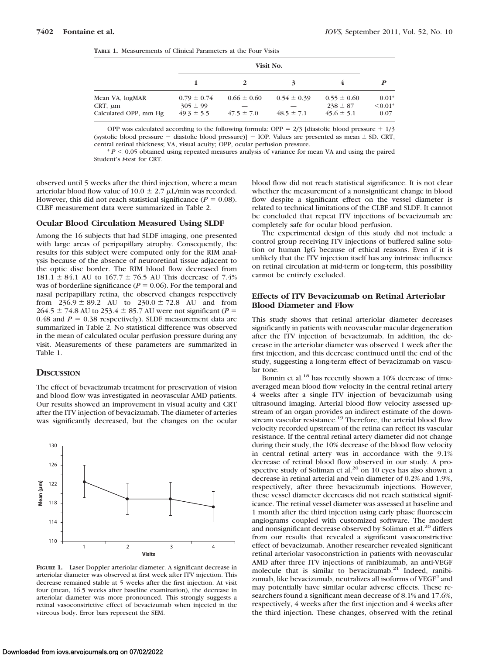| <b>TABLE 1.</b> Measurements of Clinical Parameters at the Four Visits |
|------------------------------------------------------------------------|
|                                                                        |

|                                                          |                                                   |                                   | З                                 |                                                   | P                            |
|----------------------------------------------------------|---------------------------------------------------|-----------------------------------|-----------------------------------|---------------------------------------------------|------------------------------|
| Mean VA, logMAR<br>CRT, $\mu$ m<br>Calculated OPP, mm Hg | $0.79 \pm 0.74$<br>$305 \pm 99$<br>$49.3 \pm 5.5$ | $0.66 \pm 0.60$<br>$47.5 \pm 7.0$ | $0.54 \pm 0.39$<br>$48.5 \pm 7.1$ | $0.55 \pm 0.60$<br>$238 \pm 87$<br>$45.6 \pm 5.1$ | $0.01*$<br>$< 0.01*$<br>0.07 |

OPP was calculated according to the following formula: OPP =  $2/3$  [diastolic blood pressure +  $1/3$ (systolic blood pressure  $-$  diastolic blood pressure)]  $-$  IOP. Values are presented as mean  $\pm$  SD. CRT, central retinal thickness; VA, visual acuity; OPP, ocular perfusion pressure.

 $* P < 0.05$  obtained using repeated measures analysis of variance for mean VA and using the paired Student's *t*-test for CRT.

observed until 5 weeks after the third injection, where a mean arteriolar blood flow value of 10.0  $\pm$  2.7  $\mu$ L/min was recorded. However, this did not reach statistical significance  $(P = 0.08)$ . CLBF measurement data were summarized in Table 2.

# **Ocular Blood Circulation Measured Using SLDF**

Among the 16 subjects that had SLDF imaging, one presented with large areas of peripapillary atrophy. Consequently, the results for this subject were computed only for the RIM analysis because of the absence of neuroretinal tissue adjacent to the optic disc border. The RIM blood flow decreased from 181.1  $\pm$  84.1 AU to 167.7  $\pm$  76.5 AU This decrease of 7.4% was of borderline significance ( $P = 0.06$ ). For the temporal and nasal peripapillary retina, the observed changes respectively from  $236.9 \pm 89.2$  AU to  $230.0 \pm 72.8$  AU and from  $264.5 \pm 74.8$  AU to 253.4  $\pm$  85.7 AU were not significant (*P* = 0.48 and  $P = 0.38$  respectively). SLDF measurement data are summarized in Table 2. No statistical difference was observed in the mean of calculated ocular perfusion pressure during any visit. Measurements of these parameters are summarized in Table 1.

# **DISCUSSION**

The effect of bevacizumab treatment for preservation of vision and blood flow was investigated in neovascular AMD patients. Our results showed an improvement in visual acuity and CRT after the ITV injection of bevacizumab. The diameter of arteries was significantly decreased, but the changes on the ocular



**FIGURE 1.** Laser Doppler arteriolar diameter. A significant decrease in arteriolar diameter was observed at first week after ITV injection. This decrease remained stable at 5 weeks after the first injection. At visit four (mean, 16.5 weeks after baseline examination), the decrease in arteriolar diameter was more pronounced. This strongly suggests a retinal vasoconstrictive effect of bevacizumab when injected in the vitreous body. Error bars represent the SEM.

blood flow did not reach statistical significance. It is not clear whether the measurement of a nonsignificant change in blood flow despite a significant effect on the vessel diameter is related to technical limitations of the CLBF and SLDF. It cannot be concluded that repeat ITV injections of bevacizumab are completely safe for ocular blood perfusion.

The experimental design of this study did not include a control group receiving ITV injections of buffered saline solution or human IgG because of ethical reasons. Even if it is unlikely that the ITV injection itself has any intrinsic influence on retinal circulation at mid-term or long-term, this possibility cannot be entirely excluded.

# **Effects of ITV Bevacizumab on Retinal Arteriolar Blood Diameter and Flow**

This study shows that retinal arteriolar diameter decreases significantly in patients with neovascular macular degeneration after the ITV injection of bevacizumab. In addition, the decrease in the arteriolar diameter was observed 1 week after the first injection, and this decrease continued until the end of the study, suggesting a long-term effect of bevacizumab on vascular tone.

Bonnin et al.<sup>18</sup> has recently shown a 10% decrease of timeaveraged mean blood flow velocity in the central retinal artery 4 weeks after a single ITV injection of bevacizumab using ultrasound imaging. Arterial blood flow velocity assessed upstream of an organ provides an indirect estimate of the downstream vascular resistance.<sup>19</sup> Therefore, the arterial blood flow velocity recorded upstream of the retina can reflect its vascular resistance. If the central retinal artery diameter did not change during their study, the 10% decrease of the blood flow velocity in central retinal artery was in accordance with the 9.1% decrease of retinal blood flow observed in our study. A prospective study of Soliman et al.<sup>20</sup> on 10 eyes has also shown a decrease in retinal arterial and vein diameter of 0.2% and 1.9%, respectively, after three bevacizumab injections. However, these vessel diameter decreases did not reach statistical significance. The retinal vessel diameter was assessed at baseline and 1 month after the third injection using early phase fluorescein angiograms coupled with customized software. The modest and nonsignificant decrease observed by Soliman et al.<sup>20</sup> differs from our results that revealed a significant vasoconstrictive effect of bevacizumab. Another researcher revealed significant retinal arteriolar vasoconstriction in patients with neovascular AMD after three ITV injections of ranibizumab, an anti-VEGF molecule that is similar to bevacizumab.<sup>21</sup> Indeed, ranibizumab, like bevacizumab, neutralizes all isoforms of  $VEGF<sup>2</sup>$  and may potentially have similar ocular adverse effects. These researchers found a significant mean decrease of 8.1% and 17.6%, respectively, 4 weeks after the first injection and 4 weeks after the third injection. These changes, observed with the retinal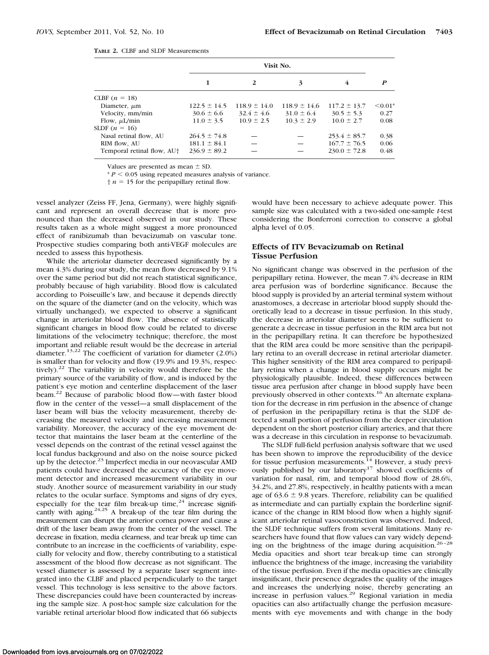| <b>TABLE 2. CLBF and SLDF Measurements</b> |
|--------------------------------------------|
|                                            |

|                                        | Visit No.        |                  |                  |                  |              |
|----------------------------------------|------------------|------------------|------------------|------------------|--------------|
|                                        |                  | 2                | 3                | 4                | P            |
| CLBF $(n = 18)$                        |                  |                  |                  |                  |              |
| Diameter, $\mu$ m                      | $122.5 \pm 14.5$ | $118.9 \pm 14.0$ | $118.9 \pm 14.6$ | $117.2 \pm 13.7$ | $\leq 0.01*$ |
| Velocity, mm/min                       | $30.6 \pm 6.6$   | $32.4 \pm 4.6$   | $31.0 \pm 6.4$   | $30.5 \pm 5.3$   | 0.27         |
| Flow, $\mu$ L/min                      | $11.0 \pm 3.5$   | $10.9 \pm 2.5$   | $10.3 \pm 2.9$   | $10.0 \pm 2.7$   | 0.08         |
| SLDF $(n = 16)$                        |                  |                  |                  |                  |              |
| Nasal retinal flow, AU                 | $264.5 \pm 74.8$ |                  |                  | $253.4 \pm 85.7$ | 0.38         |
| RIM flow, AU                           | $181.1 \pm 84.1$ |                  |                  | $167.7 \pm 76.5$ | 0.06         |
| Temporal retinal flow, AU <sup>+</sup> | $236.9 \pm 89.2$ |                  |                  | $230.0 \pm 72.8$ | 0.48         |
|                                        |                  |                  |                  |                  |              |

Values are presented as mean  $\pm$  SD.

 $* P < 0.05$  using repeated measures analysis of variance.

 $\uparrow$  *n* = 15 for the peripapillary retinal flow.

vessel analyzer (Zeiss FF, Jena, Germany), were highly significant and represent an overall decrease that is more pronounced than the decreased observed in our study. These results taken as a whole might suggest a more pronounced effect of ranibizumab than bevacizumab on vascular tone. Prospective studies comparing both anti-VEGF molecules are needed to assess this hypothesis.

While the arteriolar diameter decreased significantly by a mean 4.3% during our study, the mean flow decreased by 9.1% over the same period but did not reach statistical significance, probably because of high variability. Blood flow is calculated according to Poiseuille's law, and because it depends directly on the square of the diameter (and on the velocity, which was virtually unchanged), we expected to observe a significant change in arteriolar blood flow. The absence of statistically significant changes in blood flow could be related to diverse limitations of the velocimetry technique; therefore, the most important and reliable result would be the decrease in arterial diameter.13,22 The coefficient of variation for diameter (2.0%) is smaller than for velocity and flow (19.9% and 19.3%, respectively).22 The variability in velocity would therefore be the primary source of the variability of flow, and is induced by the patient's eye motion and centerline displacement of the laser beam.22 Because of parabolic blood flow—with faster blood flow in the center of the vessel—a small displacement of the laser beam will bias the velocity measurement, thereby decreasing the measured velocity and increasing measurement variability. Moreover, the accuracy of the eye movement detector that maintains the laser beam at the centerline of the vessel depends on the contrast of the retinal vessel against the local fundus background and also on the noise source picked up by the detector.<sup>23</sup> Imperfect media in our neovascular AMD patients could have decreased the accuracy of the eye movement detector and increased measurement variability in our study. Another source of measurement variability in our study relates to the ocular surface. Symptoms and signs of dry eyes, especially for the tear film break-up time, $24$  increase significantly with aging.<sup>24,25</sup> A break-up of the tear film during the measurement can disrupt the anterior cornea power and cause a drift of the laser beam away from the center of the vessel. The decrease in fixation, media clearness, and tear break up time can contribute to an increase in the coefficients of variability, especially for velocity and flow, thereby contributing to a statistical assessment of the blood flow decrease as not significant. The vessel diameter is assessed by a separate laser segment integrated into the CLBF and placed perpendicularly to the target vessel. This technology is less sensitive to the above factors. These discrepancies could have been counteracted by increasing the sample size. A post-hoc sample size calculation for the variable retinal arteriolar blood flow indicated that 66 subjects

would have been necessary to achieve adequate power. This sample size was calculated with a two-sided one-sample *t*-test considering the Bonferroni correction to conserve a global alpha level of 0.05.

# **Effects of ITV Bevacizumab on Retinal Tissue Perfusion**

No significant change was observed in the perfusion of the peripapillary retina. However, the mean 7.4% decrease in RIM area perfusion was of borderline significance. Because the blood supply is provided by an arterial terminal system without anastomoses, a decrease in arteriolar blood supply should theoretically lead to a decrease in tissue perfusion. In this study, the decrease in arteriolar diameter seems to be sufficient to generate a decrease in tissue perfusion in the RIM area but not in the peripapillary retina. It can therefore be hypothesized that the RIM area could be more sensitive than the peripapillary retina to an overall decrease in retinal arteriolar diameter. This higher sensitivity of the RIM area compared to peripapillary retina when a change in blood supply occurs might be physiologically plausible. Indeed, these differences between tissue area perfusion after change in blood supply have been previously observed in other contexts.<sup>16</sup> An alternate explanation for the decrease in rim perfusion in the absence of change of perfusion in the peripapillary retina is that the SLDF detected a small portion of perfusion from the deeper circulation dependent on the short posterior ciliary arteries, and that there was a decrease in this circulation in response to bevacizumab.

The SLDF full-field perfusion analysis software that we used has been shown to improve the reproducibility of the device for tissue perfusion measurements.<sup>14</sup> However, a study previously published by our laboratory<sup>17</sup> showed coefficients of variation for nasal, rim, and temporal blood flow of 28.6%, 34.2%, and 27.8%, respectively, in healthy patients with a mean age of  $63.6 \pm 9.8$  years. Therefore, reliability can be qualified as intermediate and can partially explain the borderline significance of the change in RIM blood flow when a highly significant arteriolar retinal vasoconstriction was observed. Indeed, the SLDF technique suffers from several limitations. Many researchers have found that flow values can vary widely depending on the brightness of the image during acquisition.<sup>26-28</sup> Media opacities and short tear break-up time can strongly influence the brightness of the image, increasing the variability of the tissue perfusion. Even if the media opacities are clinically insignificant, their presence degrades the quality of the images and increases the underlying noise, thereby generating an increase in perfusion values.<sup>29</sup> Regional variation in media opacities can also artifactually change the perfusion measurements with eye movements and with change in the body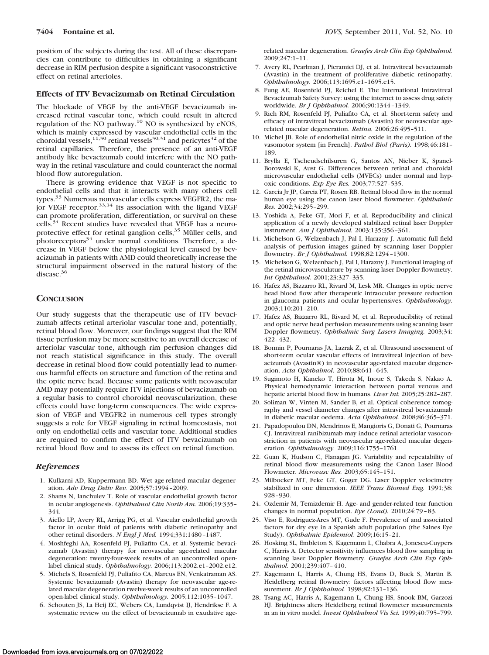position of the subjects during the test. All of these discrepancies can contribute to difficulties in obtaining a significant decrease in RIM perfusion despite a significant vasoconstrictive effect on retinal arterioles.

## **Effects of ITV Bevacizumab on Retinal Circulation**

The blockade of VEGF by the anti-VEGF bevacizumab increased retinal vascular tone, which could result in altered regulation of the NO pathway.<sup>10</sup> NO is synthesized by eNOS, which is mainly expressed by vascular endothelial cells in the choroidal vessels,<sup>11,30</sup> retinal vessels<sup>30,31</sup> and pericytes<sup>32</sup> of the retinal capillaries. Therefore, the presence of an anti-VEGF antibody like bevacizumab could interfere with the NO pathway in the retinal vasculature and could counteract the normal blood flow autoregulation.

There is growing evidence that VEGF is not specific to endothelial cells and that it interacts with many others cell types.<sup>33</sup> Numerous nonvascular cells express VEGFR2, the major VEGF receptor. $33,34$  Its association with the ligand VEGF can promote proliferation, differentiation, or survival on these cells.<sup>34</sup> Recent studies have revealed that VEGF has a neuroprotective effect for retinal ganglion cells,<sup>35</sup> Müller cells, and photoreceptors<sup>34</sup> under normal conditions. Therefore, a decrease in VEGF below the physiological level caused by bevacizumab in patients with AMD could theoretically increase the structural impairment observed in the natural history of the disease.<sup>36</sup>

#### **CONCLUSION**

Our study suggests that the therapeutic use of ITV bevacizumab affects retinal arteriolar vascular tone and, potentially, retinal blood flow. Moreover, our findings suggest that the RIM tissue perfusion may be more sensitive to an overall decrease of arteriolar vascular tone, although rim perfusion changes did not reach statistical significance in this study. The overall decrease in retinal blood flow could potentially lead to numerous harmful effects on structure and function of the retina and the optic nerve head. Because some patients with neovascular AMD may potentially require ITV injections of bevacizumab on a regular basis to control choroidal neovascularization, these effects could have long-term consequences. The wide expression of VEGF and VEGFR2 in numerous cell types strongly suggests a role for VEGF signaling in retinal homeostasis, not only on endothelial cells and vascular tone. Additional studies are required to confirm the effect of ITV bevacizumab on retinal blood flow and to assess its effect on retinal function.

## *References*

- 1. Kulkarni AD, Kuppermann BD. Wet age-related macular degeneration. *Adv Drug Deliv Rev.* 2005;57:1994 –2009.
- 2. Shams N, Ianchulev T. Role of vascular endothelial growth factor in ocular angiogenesis. *Ophthalmol Clin North Am.* 2006;19:335– 344.
- 3. Aiello LP, Avery RL, Arrigg PG, et al. Vascular endothelial growth factor in ocular fluid of patients with diabetic retinopathy and other retinal disorders. *N Engl J Med.* 1994;331:1480 –1487.
- 4. Moshfeghi AA, Rosenfeld PJ, Puliafito CA, et al. Systemic bevacizumab (Avastin) therapy for neovascular age-related macular degeneration: twenty-four-week results of an uncontrolled openlabel clinical study. *Ophthalmology.* 2006;113:2002.e1–2002.e12.
- 5. Michels S, Rosenfeld PJ, Puliafito CA, Marcus EN, Venkatraman AS. Systemic bevacizumab (Avastin) therapy for neovascular age-related macular degeneration twelve-week results of an uncontrolled open-label clinical study. *Ophthalmology.* 2005;112:1035–1047.
- 6. Schouten JS, La Heij EC, Webers CA, Lundqvist IJ, Hendrikse F. A systematic review on the effect of bevacizumab in exudative age-

related macular degeneration. *Graefes Arch Clin Exp Ophthalmol.* 2009;247:1–11.

- 7. Avery RL, Pearlman J, Pieramici DJ, et al. Intravitreal bevacizumab (Avastin) in the treatment of proliferative diabetic retinopathy. *Ophthalmology.* 2006;113:1695.e1–1695.e15.
- 8. Fung AE, Rosenfeld PJ, Reichel E. The International Intravitreal Bevacizumab Safety Survey: using the internet to assess drug safety worldwide. *Br J Ophthalmol.* 2006;90:1344 –1349.
- 9. Rich RM, Rosenfeld PJ, Puliafito CA, et al. Short-term safety and efficacy of intravitreal bevacizumab (Avastin) for neovascular agerelated macular degeneration. *Retina.* 2006;26:495–511.
- 10. Michel JB. Role of endothelial nitric oxide in the regulation of the vasomotor system [in French]. *Pathol Biol (Paris).* 1998;46:181– 189.
- 11. Brylla E, Tscheudschilsuren G, Santos AN, Nieber K, Spanel-Borowski K, Aust G. Differences between retinal and choroidal microvascular endothelial cells (MVECs) under normal and hypoxic conditions. *Exp Eye Res.* 2003;77:527–535.
- 12. Garcia Jr JP, Garcia PT, Rosen RB. Retinal blood flow in the normal human eye using the canon laser blood flowmeter. *Ophthalmic Res.* 2002;34:295–299.
- 13. Yoshida A, Feke GT, Mori F, et al. Reproducibility and clinical application of a newly developed stabilized retinal laser Doppler instrument. *Am J Ophthalmol.* 2003;135:356 –361.
- 14. Michelson G, Welzenbach J, Pal I, Harazny J. Automatic full field analysis of perfusion images gained by scanning laser Doppler flowmetry. *Br J Ophthalmol.* 1998;82:1294 –1300.
- 15. Michelson G, Welzenbach J, Pal I, Harazny J. Functional imaging of the retinal microvasculature by scanning laser Doppler flowmetry. *Int Ophthalmol.* 2001;23:327–335.
- 16. Hafez AS, Bizzarro RL, Rivard M, Lesk MR. Changes in optic nerve head blood flow after therapeutic intraocular pressure reduction in glaucoma patients and ocular hypertensives. *Ophthalmology.* 2003;110:201–210.
- 17. Hafez AS, Bizzarro RL, Rivard M, et al. Reproducibility of retinal and optic nerve head perfusion measurements using scanning laser Doppler flowmetry. *Ophthalmic Surg Lasers Imaging.* 2003;34: 422– 432.
- 18. Bonnin P, Pournaras JA, Lazrak Z, et al. Ultrasound assessment of short-term ocular vascular effects of intravitreal injection of bevacizumab (Avastin®) in neovascular age-related macular degeneration. *Acta Ophthalmol*. 2010;88:641– 645.
- 19. Sugimoto H, Kaneko T, Hirota M, Inoue S, Takeda S, Nakao A. Physical hemodynamic interaction between portal venous and hepatic arterial blood flow in humans. *Liver Int.* 2005;25:282–287.
- 20. Soliman W, Vinten M, Sander B, et al. Optical coherence tomography and vessel diameter changes after intravitreal bevacizumab in diabetic macular oedema. *Acta Ophthalmol.* 2008;86:365–371.
- 21. Papadopoulou DN, Mendrinos E, Mangioris G, Donati G, Pournaras CJ. Intravitreal ranibizumab may induce retinal arteriolar vasoconstriction in patients with neovascular age-related macular degeneration. *Ophthalmology.* 2009;116:1755–1761.
- 22. Guan K, Hudson C, Flanagan JG. Variability and repeatability of retinal blood flow measurements using the Canon Laser Blood Flowmeter. *Microvasc Res.* 2003;65:145–151.
- 23. Milbocker MT, Feke GT, Goger DG. Laser Doppler velocimetry stabilized in one dimension. *IEEE Trans Biomed Eng.* 1991;38: 928 –930.
- 24. Ozdemir M, Temizdemir H. Age- and gender-related tear function changes in normal population. *Eye (Lond).* 2010;24:79 – 83.
- 25. Viso E, Rodriguez-Ares MT, Gude F. Prevalence of and associated factors for dry eye in a Spanish adult population (the Salnes Eye Study). *Ophthalmic Epidemiol.* 2009;16:15–21.
- 26. Hosking SL, Embleton S, Kagemann L, Chabra A, Jonescu-Cuypers C, Harris A. Detector sensitivity influences blood flow sampling in scanning laser Doppler flowmetry. *Graefes Arch Clin Exp Ophthalmol.* 2001;239:407– 410.
- 27. Kagemann L, Harris A, Chung HS, Evans D, Buck S, Martin B. Heidelberg retinal flowmetry: factors affecting blood flow measurement. *Br J Ophthalmol.* 1998;82:131–136.
- 28. Tsang AC, Harris A, Kagemann L, Chung HS, Snook BM, Garzozi HJ. Brightness alters Heidelberg retinal flowmeter measurements in an in vitro model. *Invest Ophthalmol Vis Sci.* 1999;40:795–799.